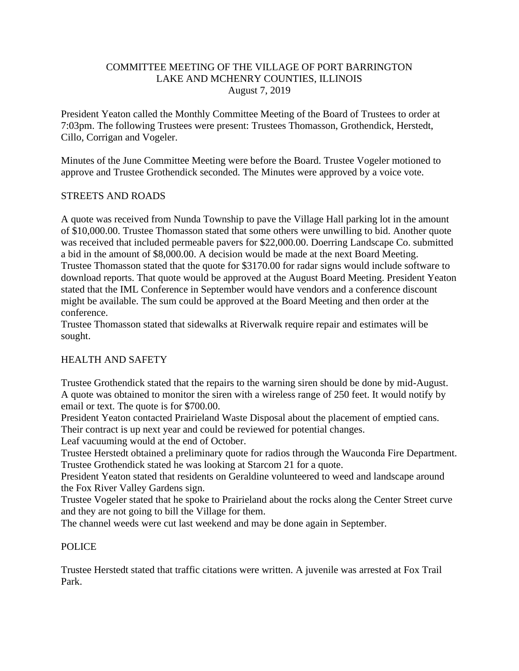## COMMITTEE MEETING OF THE VILLAGE OF PORT BARRINGTON LAKE AND MCHENRY COUNTIES, ILLINOIS August 7, 2019

President Yeaton called the Monthly Committee Meeting of the Board of Trustees to order at 7:03pm. The following Trustees were present: Trustees Thomasson, Grothendick, Herstedt, Cillo, Corrigan and Vogeler.

Minutes of the June Committee Meeting were before the Board. Trustee Vogeler motioned to approve and Trustee Grothendick seconded. The Minutes were approved by a voice vote.

## STREETS AND ROADS

A quote was received from Nunda Township to pave the Village Hall parking lot in the amount of \$10,000.00. Trustee Thomasson stated that some others were unwilling to bid. Another quote was received that included permeable pavers for \$22,000.00. Doerring Landscape Co. submitted a bid in the amount of \$8,000.00. A decision would be made at the next Board Meeting. Trustee Thomasson stated that the quote for \$3170.00 for radar signs would include software to download reports. That quote would be approved at the August Board Meeting. President Yeaton stated that the IML Conference in September would have vendors and a conference discount might be available. The sum could be approved at the Board Meeting and then order at the conference.

Trustee Thomasson stated that sidewalks at Riverwalk require repair and estimates will be sought.

### HEALTH AND SAFETY

Trustee Grothendick stated that the repairs to the warning siren should be done by mid-August. A quote was obtained to monitor the siren with a wireless range of 250 feet. It would notify by email or text. The quote is for \$700.00.

President Yeaton contacted Prairieland Waste Disposal about the placement of emptied cans. Their contract is up next year and could be reviewed for potential changes.

Leaf vacuuming would at the end of October.

Trustee Herstedt obtained a preliminary quote for radios through the Wauconda Fire Department. Trustee Grothendick stated he was looking at Starcom 21 for a quote.

President Yeaton stated that residents on Geraldine volunteered to weed and landscape around the Fox River Valley Gardens sign.

Trustee Vogeler stated that he spoke to Prairieland about the rocks along the Center Street curve and they are not going to bill the Village for them.

The channel weeds were cut last weekend and may be done again in September.

### POLICE

Trustee Herstedt stated that traffic citations were written. A juvenile was arrested at Fox Trail Park.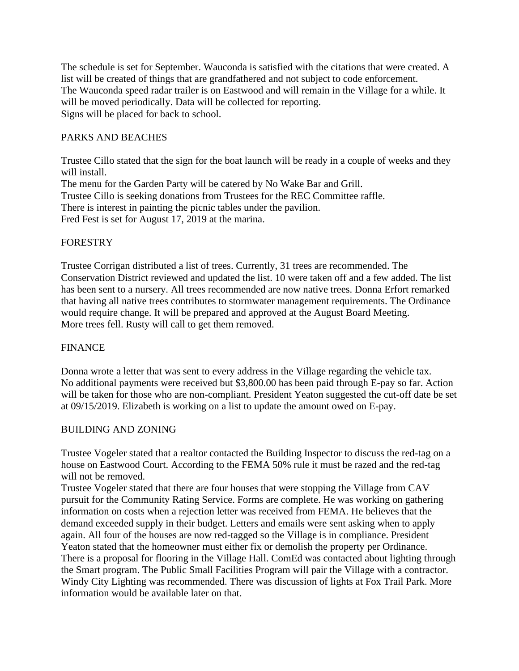The schedule is set for September. Wauconda is satisfied with the citations that were created. A list will be created of things that are grandfathered and not subject to code enforcement. The Wauconda speed radar trailer is on Eastwood and will remain in the Village for a while. It will be moved periodically. Data will be collected for reporting. Signs will be placed for back to school.

# PARKS AND BEACHES

Trustee Cillo stated that the sign for the boat launch will be ready in a couple of weeks and they will install. The menu for the Garden Party will be catered by No Wake Bar and Grill. Trustee Cillo is seeking donations from Trustees for the REC Committee raffle. There is interest in painting the picnic tables under the pavilion. Fred Fest is set for August 17, 2019 at the marina.

## FORESTRY

Trustee Corrigan distributed a list of trees. Currently, 31 trees are recommended. The Conservation District reviewed and updated the list. 10 were taken off and a few added. The list has been sent to a nursery. All trees recommended are now native trees. Donna Erfort remarked that having all native trees contributes to stormwater management requirements. The Ordinance would require change. It will be prepared and approved at the August Board Meeting. More trees fell. Rusty will call to get them removed.

### FINANCE

Donna wrote a letter that was sent to every address in the Village regarding the vehicle tax. No additional payments were received but \$3,800.00 has been paid through E-pay so far. Action will be taken for those who are non-compliant. President Yeaton suggested the cut-off date be set at 09/15/2019. Elizabeth is working on a list to update the amount owed on E-pay.

### BUILDING AND ZONING

Trustee Vogeler stated that a realtor contacted the Building Inspector to discuss the red-tag on a house on Eastwood Court. According to the FEMA 50% rule it must be razed and the red-tag will not be removed.

Trustee Vogeler stated that there are four houses that were stopping the Village from CAV pursuit for the Community Rating Service. Forms are complete. He was working on gathering information on costs when a rejection letter was received from FEMA. He believes that the demand exceeded supply in their budget. Letters and emails were sent asking when to apply again. All four of the houses are now red-tagged so the Village is in compliance. President Yeaton stated that the homeowner must either fix or demolish the property per Ordinance. There is a proposal for flooring in the Village Hall. ComEd was contacted about lighting through the Smart program. The Public Small Facilities Program will pair the Village with a contractor. Windy City Lighting was recommended. There was discussion of lights at Fox Trail Park. More information would be available later on that.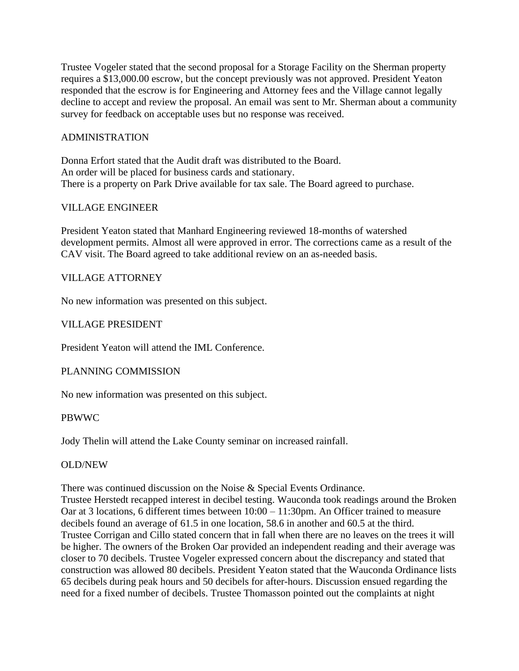Trustee Vogeler stated that the second proposal for a Storage Facility on the Sherman property requires a \$13,000.00 escrow, but the concept previously was not approved. President Yeaton responded that the escrow is for Engineering and Attorney fees and the Village cannot legally decline to accept and review the proposal. An email was sent to Mr. Sherman about a community survey for feedback on acceptable uses but no response was received.

## ADMINISTRATION

Donna Erfort stated that the Audit draft was distributed to the Board. An order will be placed for business cards and stationary. There is a property on Park Drive available for tax sale. The Board agreed to purchase.

## VILLAGE ENGINEER

President Yeaton stated that Manhard Engineering reviewed 18-months of watershed development permits. Almost all were approved in error. The corrections came as a result of the CAV visit. The Board agreed to take additional review on an as-needed basis.

## VILLAGE ATTORNEY

No new information was presented on this subject.

## VILLAGE PRESIDENT

President Yeaton will attend the IML Conference.

### PLANNING COMMISSION

No new information was presented on this subject.

### PBWWC

Jody Thelin will attend the Lake County seminar on increased rainfall.

### OLD/NEW

There was continued discussion on the Noise & Special Events Ordinance.

Trustee Herstedt recapped interest in decibel testing. Wauconda took readings around the Broken Oar at 3 locations, 6 different times between 10:00 – 11:30pm. An Officer trained to measure decibels found an average of 61.5 in one location, 58.6 in another and 60.5 at the third. Trustee Corrigan and Cillo stated concern that in fall when there are no leaves on the trees it will be higher. The owners of the Broken Oar provided an independent reading and their average was closer to 70 decibels. Trustee Vogeler expressed concern about the discrepancy and stated that construction was allowed 80 decibels. President Yeaton stated that the Wauconda Ordinance lists 65 decibels during peak hours and 50 decibels for after-hours. Discussion ensued regarding the need for a fixed number of decibels. Trustee Thomasson pointed out the complaints at night